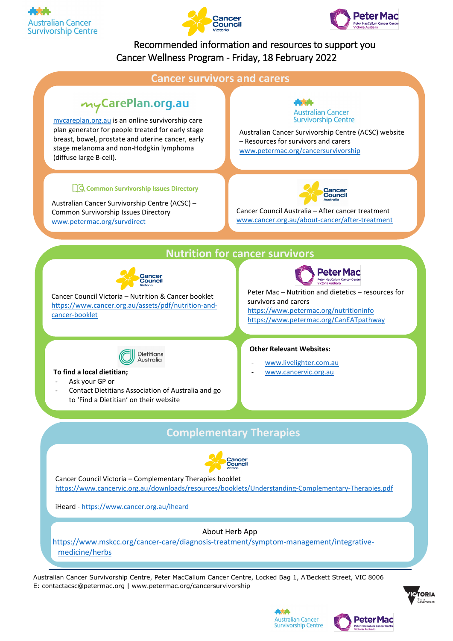





## Recommended information and resources to support you Cancer Wellness Program - Friday, 18 February 2022



Australian Cancer Survivorship Centre, Peter MacCallum Cancer Centre, Locked Bag 1, A'Beckett Street, VIC 8006 E: contactacsc@petermac.org | [www.petermac.org/cancersurvivorship](http://www.petermac.org/cancersurvivorship)



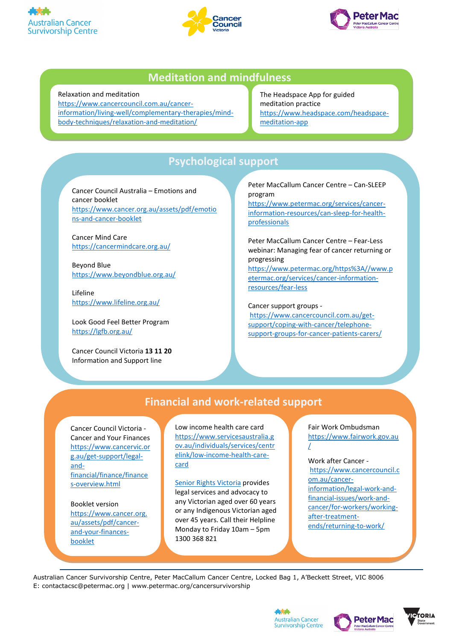





## **Meditation and mindfulness**

### Relaxation and meditation

[https://www.cancercouncil.com.au/cancer](https://www.cancercouncil.com.au/cancer-information/living-well/complementary-therapies/mind-body-techniques/relaxation-and-meditation/)[information/living-well/complementary-therapies/mind](https://www.cancercouncil.com.au/cancer-information/living-well/complementary-therapies/mind-body-techniques/relaxation-and-meditation/)[body-techniques/relaxation-and-meditation/](https://www.cancercouncil.com.au/cancer-information/living-well/complementary-therapies/mind-body-techniques/relaxation-and-meditation/)

The Headspace App for guided meditation practice [https://www.headspace.com/headspace](https://www.headspace.com/headspace-meditation-app)[meditation-app](https://www.headspace.com/headspace-meditation-app)

# **Psychological support**

Cancer Council Australia – Emotions and cancer booklet [https://www.cancer.org.au/assets/pdf/emotio](https://www.cancer.org.au/assets/pdf/emotions-and-cancer-booklet) [ns-and-cancer-booklet](https://www.cancer.org.au/assets/pdf/emotions-and-cancer-booklet)

Cancer Mind Care <https://cancermindcare.org.au/>

Beyond Blue <https://www.beyondblue.org.au/>

Lifeline <https://www.lifeline.org.au/>

Look Good Feel Better Program <https://lgfb.org.au/>

Cancer Council Victoria **13 11 20** Information and Support line

Peter MacCallum Cancer Centre – Can-SLEEP program

[https://www.petermac.org/services/cancer](https://www.petermac.org/services/cancer-information-resources/can-sleep-for-health-professionals)[information-resources/can-sleep-for-health](https://www.petermac.org/services/cancer-information-resources/can-sleep-for-health-professionals)[professionals](https://www.petermac.org/services/cancer-information-resources/can-sleep-for-health-professionals)

Peter MacCallum Cancer Centre – Fear-Less webinar: Managing fear of cancer returning or progressing [https://www.petermac.org/https%3A//www.p](https://www.petermac.org/https%3A/www.petermac.org/services/cancer-information-resources/fear-less) [etermac.org/services/cancer-information](https://www.petermac.org/https%3A/www.petermac.org/services/cancer-information-resources/fear-less)[resources/fear-less](https://www.petermac.org/https%3A/www.petermac.org/services/cancer-information-resources/fear-less)

Cancer support groups [https://www.cancercouncil.com.au/get](https://www.cancercouncil.com.au/get-support/coping-with-cancer/telephone-support-groups-for-cancer-patients-carers/)[support/coping-with-cancer/telephone](https://www.cancercouncil.com.au/get-support/coping-with-cancer/telephone-support-groups-for-cancer-patients-carers/)[support-groups-for-cancer-patients-carers/](https://www.cancercouncil.com.au/get-support/coping-with-cancer/telephone-support-groups-for-cancer-patients-carers/)

# **Financial and work-related support**

Cancer Council Victoria - Cancer and Your Finances [https://www.cancervic.or](https://www.cancervic.org.au/get-support/legal-and-financial/finance/finances-overview.html) [g.au/get-support/legal](https://www.cancervic.org.au/get-support/legal-and-financial/finance/finances-overview.html)[and](https://www.cancervic.org.au/get-support/legal-and-financial/finance/finances-overview.html)[financial/finance/finance](https://www.cancervic.org.au/get-support/legal-and-financial/finance/finances-overview.html) [s-overview.html](https://www.cancervic.org.au/get-support/legal-and-financial/finance/finances-overview.html)

Booklet version [https://www.cancer.org.](https://www.cancer.org.au/assets/pdf/cancer-and-your-finances-booklet) [au/assets/pdf/cancer](https://www.cancer.org.au/assets/pdf/cancer-and-your-finances-booklet)[and-your-finances](https://www.cancer.org.au/assets/pdf/cancer-and-your-finances-booklet)[booklet](https://www.cancer.org.au/assets/pdf/cancer-and-your-finances-booklet)

Low income health care card [https://www.servicesaustralia.g](https://www.servicesaustralia.gov.au/individuals/services/centrelink/low-income-health-care-card) [ov.au/individuals/services/centr](https://www.servicesaustralia.gov.au/individuals/services/centrelink/low-income-health-care-card) [elink/low-income-health-care](https://www.servicesaustralia.gov.au/individuals/services/centrelink/low-income-health-care-card)[card](https://www.servicesaustralia.gov.au/individuals/services/centrelink/low-income-health-care-card)

Senior Rights [Victoria](https://seniorsrights.org.au/) provides legal services and advocacy to any Victorian aged over 60 years or any Indigenous Victorian aged over 45 years. Call their Helpline Monday to Friday 10am – 5pm 1300 368 821

Fair Work Ombudsman [https://www.fairwork.gov.au](https://www.fairwork.gov.au/) [/](https://www.fairwork.gov.au/)

#### Work after Cancer -

[https://www.cancercouncil.c](https://www.cancercouncil.com.au/cancer-information/legal-work-and-financial-issues/work-and-cancer/for-workers/working-after-treatment-ends/returning-to-work/) [om.au/cancer](https://www.cancercouncil.com.au/cancer-information/legal-work-and-financial-issues/work-and-cancer/for-workers/working-after-treatment-ends/returning-to-work/)[information/legal-work-and](https://www.cancercouncil.com.au/cancer-information/legal-work-and-financial-issues/work-and-cancer/for-workers/working-after-treatment-ends/returning-to-work/)[financial-issues/work-and](https://www.cancercouncil.com.au/cancer-information/legal-work-and-financial-issues/work-and-cancer/for-workers/working-after-treatment-ends/returning-to-work/)[cancer/for-workers/working](https://www.cancercouncil.com.au/cancer-information/legal-work-and-financial-issues/work-and-cancer/for-workers/working-after-treatment-ends/returning-to-work/)[after-treatment](https://www.cancercouncil.com.au/cancer-information/legal-work-and-financial-issues/work-and-cancer/for-workers/working-after-treatment-ends/returning-to-work/)[ends/returning-to-work/](https://www.cancercouncil.com.au/cancer-information/legal-work-and-financial-issues/work-and-cancer/for-workers/working-after-treatment-ends/returning-to-work/)

Australian Cancer Survivorship Centre, Peter MacCallum Cancer Centre, Locked Bag 1, A'Beckett Street, VIC 8006 E: contactacsc@petermac.org | [www.petermac.org/cancersurvivorship](http://www.petermac.org/cancersurvivorship)